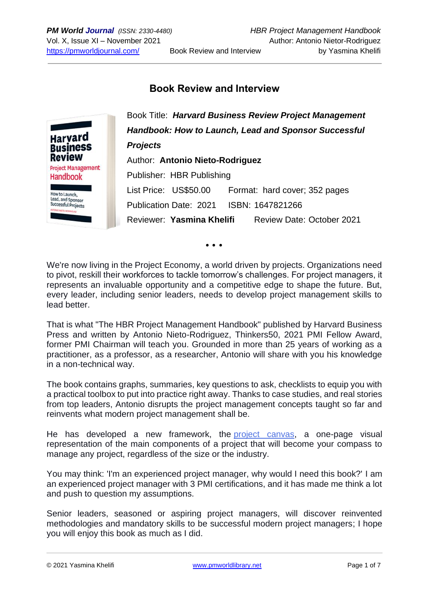## **Book Review and Interview**



• • •

We're now living in the Project Economy, a world driven by projects. Organizations need to pivot, reskill their workforces to tackle tomorrow's challenges. For project managers, it represents an invaluable opportunity and a competitive edge to shape the future. But, every leader, including senior leaders, needs to develop project management skills to lead better.

That is what "The HBR Project Management Handbook" published by Harvard Business Press and written by Antonio Nieto-Rodriguez, Thinkers50, 2021 PMI Fellow Award, former PMI Chairman will teach you. Grounded in more than 25 years of working as a practitioner, as a professor, as a researcher, Antonio will share with you his knowledge in a non-technical way.

The book contains graphs, summaries, key questions to ask, checklists to equip you with a practical toolbox to put into practice right away. Thanks to case studies, and real stories from top leaders, Antonio disrupts the project management concepts taught so far and reinvents what modern project management shall be.

He has developed a new framework, the project [canvas,](https://antonionietorodriguez.com/wp-content/uploads/2020/09/Project-Canvas-Antonio-Nieto-Rodriguez-v2020-Website.pdf) a one-page visual representation of the main components of a project that will become your compass to manage any project, regardless of the size or the industry.

You may think: 'I'm an experienced project manager, why would I need this book?' I am an experienced project manager with 3 PMI certifications, and it has made me think a lot and push to question my assumptions.

Senior leaders, seasoned or aspiring project managers, will discover reinvented methodologies and mandatory skills to be successful modern project managers; I hope you will enjoy this book as much as I did.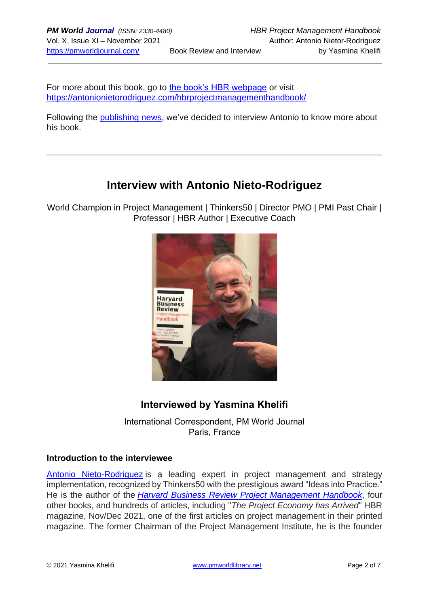For more about this book, go to [the book's HBR webpage](https://store.hbr.org/product/harvard-business-review-project-management-handbook-how-to-launch-lead-and-sponsor-successful-projects/10494?sku=10494H-HBK-ENG) or visit <https://antonionietorodriguez.com/hbrprojectmanagementhandbook/>

Following the [publishing news,](https://pmworldlibrary.net/wp-content/uploads/2021/10/211010-new-HBR-project-management-handbook-published.pdf) we've decided to interview Antonio to know more about his book.

# **Interview with Antonio Nieto-Rodriguez**

World Champion in Project Management | Thinkers50 | Director PMO | PMI Past Chair | Professor | HBR Author | Executive Coach



## **Interviewed by Yasmina Khelifi**

International Correspondent, PM World Journal Paris, France

## **Introduction to the interviewee**

[Antonio Nieto-Rodriguez](https://hbr.org/search?term=antonio%20nieto-rodriguez&search_type=search-all) is a leading expert in project management and strategy implementation, recognized by Thinkers50 with the prestigious award "Ideas into Practice." He is the author of the *[Harvard Business Review Project Management Handbook](https://www.amazon.com/Harvard-Business-Project-Management-Handbook/dp/1647821266)*, four other books, and hundreds of articles, including "*The Project Economy has Arrived*" HBR magazine, Nov/Dec 2021, one of the first articles on project management in their printed magazine. The former Chairman of the Project Management Institute, he is the founder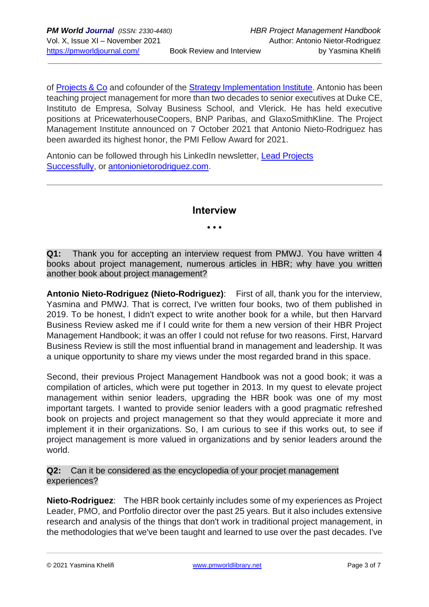of [Projects & Co](https://projectsnco.com/) and cofounder of the [Strategy Implementation Institute.](https://www.strategyimplementationinstitute.org/) Antonio has been teaching project management for more than two decades to senior executives at Duke CE, Instituto de Empresa, Solvay Business School, and Vlerick. He has held executive positions at PricewaterhouseCoopers, BNP Paribas, and GlaxoSmithKline. The Project Management Institute announced on 7 October 2021 that Antonio Nieto-Rodriguez has been awarded its highest honor, the PMI Fellow Award for 2021.

Antonio can be followed through his LinkedIn newsletter, [Lead Projects](https://www.linkedin.com/newsletters/lead-projects-successfully-6820596029113565184/)  [Successfully,](https://www.linkedin.com/newsletters/lead-projects-successfully-6820596029113565184/) or [antonionietorodriguez.com.](http://antonionietorodriguez.com/)

## **Interview**

• • •

**Q1:** Thank you for accepting an interview request from PMWJ. You have written 4 books about project management, numerous articles in HBR; why have you written another book about project management?

**Antonio Nieto-Rodriguez (Nieto-Rodriguez)**: First of all, thank you for the interview, Yasmina and PMWJ. That is correct, I've written four books, two of them published in 2019. To be honest, I didn't expect to write another book for a while, but then Harvard Business Review asked me if I could write for them a new version of their HBR Project Management Handbook; it was an offer I could not refuse for two reasons. First, Harvard Business Review is still the most influential brand in management and leadership. It was a unique opportunity to share my views under the most regarded brand in this space.

Second, their previous Project Management Handbook was not a good book; it was a compilation of articles, which were put together in 2013. In my quest to elevate project management within senior leaders, upgrading the HBR book was one of my most important targets. I wanted to provide senior leaders with a good pragmatic refreshed book on projects and project management so that they would appreciate it more and implement it in their organizations. So, I am curious to see if this works out, to see if project management is more valued in organizations and by senior leaders around the world.

**Q2:** Can it be considered as the encyclopedia of your prociet management experiences?

**Nieto-Rodriguez**: The HBR book certainly includes some of my experiences as Project Leader, PMO, and Portfolio director over the past 25 years. But it also includes extensive research and analysis of the things that don't work in traditional project management, in the methodologies that we've been taught and learned to use over the past decades. I've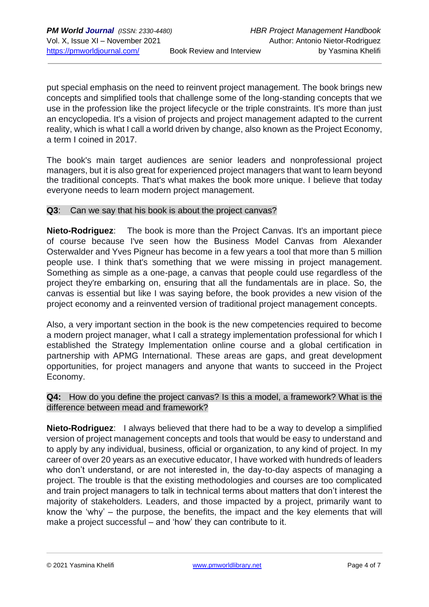put special emphasis on the need to reinvent project management. The book brings new concepts and simplified tools that challenge some of the long-standing concepts that we use in the profession like the project lifecycle or the triple constraints. It's more than just an encyclopedia. It's a vision of projects and project management adapted to the current reality, which is what I call a world driven by change, also known as the Project Economy, a term I coined in 2017.

The book's main target audiences are senior leaders and nonprofessional project managers, but it is also great for experienced project managers that want to learn beyond the traditional concepts. That's what makes the book more unique. I believe that today everyone needs to learn modern project management.

#### **Q3**: Can we say that his book is about the project canvas?

**Nieto-Rodriguez**: The book is more than the Project Canvas. It's an important piece of course because I've seen how the Business Model Canvas from Alexander Osterwalder and Yves Pigneur has become in a few years a tool that more than 5 million people use. I think that's something that we were missing in project management. Something as simple as a one-page, a canvas that people could use regardless of the project they're embarking on, ensuring that all the fundamentals are in place. So, the canvas is essential but like I was saying before, the book provides a new vision of the project economy and a reinvented version of traditional project management concepts.

Also, a very important section in the book is the new competencies required to become a modern project manager, what I call a strategy implementation professional for which I established the Strategy Implementation online course and a global certification in partnership with APMG International. These areas are gaps, and great development opportunities, for project managers and anyone that wants to succeed in the Project Economy.

#### **Q4:** How do you define the project canvas? Is this a model, a framework? What is the difference between mead and framework?

**Nieto-Rodriguez**: I always believed that there had to be a way to develop a simplified version of project management concepts and tools that would be easy to understand and to apply by any individual, business, official or organization, to any kind of project. In my career of over 20 years as an executive educator, I have worked with hundreds of leaders who don't understand, or are not interested in, the day-to-day aspects of managing a project. The trouble is that the existing methodologies and courses are too complicated and train project managers to talk in technical terms about matters that don't interest the majority of stakeholders. Leaders, and those impacted by a project, primarily want to know the 'why' – the purpose, the benefits, the impact and the key elements that will make a project successful – and 'how' they can contribute to it.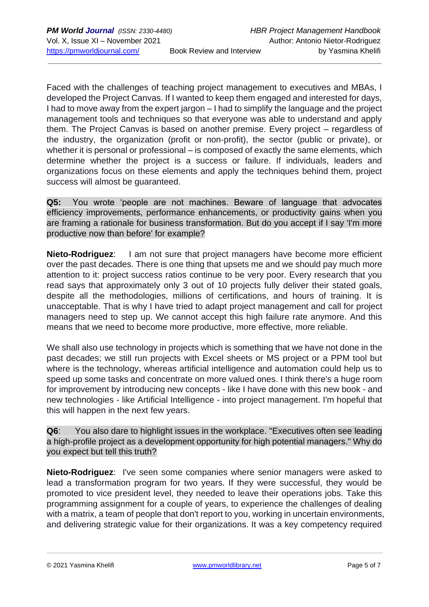Faced with the challenges of teaching project management to executives and MBAs, I developed the Project Canvas. If I wanted to keep them engaged and interested for days, I had to move away from the expert jargon – I had to simplify the language and the project management tools and techniques so that everyone was able to understand and apply them. The Project Canvas is based on another premise. Every project – regardless of the industry, the organization (profit or non-profit), the sector (public or private), or whether it is personal or professional – is composed of exactly the same elements, which determine whether the project is a success or failure. If individuals, leaders and organizations focus on these elements and apply the techniques behind them, project success will almost be guaranteed.

**Q5:** You wrote 'people are not machines. Beware of language that advocates efficiency improvements, performance enhancements, or productivity gains when you are framing a rationale for business transformation. But do you accept if I say 'I'm more productive now than before' for example?

**Nieto-Rodriguez**: I am not sure that project managers have become more efficient over the past decades. There is one thing that upsets me and we should pay much more attention to it: project success ratios continue to be very poor. Every research that you read says that approximately only 3 out of 10 projects fully deliver their stated goals, despite all the methodologies, millions of certifications, and hours of training. It is unacceptable. That is why I have tried to adapt project management and call for project managers need to step up. We cannot accept this high failure rate anymore. And this means that we need to become more productive, more effective, more reliable.

We shall also use technology in projects which is something that we have not done in the past decades; we still run projects with Excel sheets or MS project or a PPM tool but where is the technology, whereas artificial intelligence and automation could help us to speed up some tasks and concentrate on more valued ones. I think there's a huge room for improvement by introducing new concepts - like I have done with this new book - and new technologies - like Artificial Intelligence - into project management. I'm hopeful that this will happen in the next few years.

**Q6**: You also dare to highlight issues in the workplace. "Executives often see leading a high-profile project as a development opportunity for high potential managers." Why do you expect but tell this truth?

**Nieto-Rodriguez**: I've seen some companies where senior managers were asked to lead a transformation program for two years. If they were successful, they would be promoted to vice president level, they needed to leave their operations jobs. Take this programming assignment for a couple of years, to experience the challenges of dealing with a matrix, a team of people that don't report to you, working in uncertain environments, and delivering strategic value for their organizations. It was a key competency required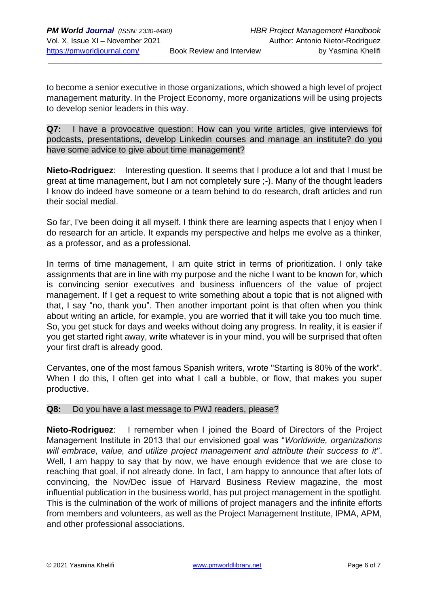to become a senior executive in those organizations, which showed a high level of project management maturity. In the Project Economy, more organizations will be using projects to develop senior leaders in this way.

**Q7:** I have a provocative question: How can you write articles, give interviews for podcasts, presentations, develop Linkedin courses and manage an institute? do you have some advice to give about time management?

**Nieto-Rodriguez**: Interesting question. It seems that I produce a lot and that I must be great at time management, but I am not completely sure ;-). Many of the thought leaders I know do indeed have someone or a team behind to do research, draft articles and run their social medial.

So far, I've been doing it all myself. I think there are learning aspects that I enjoy when I do research for an article. It expands my perspective and helps me evolve as a thinker, as a professor, and as a professional.

In terms of time management, I am quite strict in terms of prioritization. I only take assignments that are in line with my purpose and the niche I want to be known for, which is convincing senior executives and business influencers of the value of project management. If I get a request to write something about a topic that is not aligned with that, I say "no, thank you". Then another important point is that often when you think about writing an article, for example, you are worried that it will take you too much time. So, you get stuck for days and weeks without doing any progress. In reality, it is easier if you get started right away, write whatever is in your mind, you will be surprised that often your first draft is already good.

Cervantes, one of the most famous Spanish writers, wrote "Starting is 80% of the work". When I do this, I often get into what I call a bubble, or flow, that makes you super productive.

#### **Q8:** Do you have a last message to PWJ readers, please?

**Nieto-Rodriguez**: I remember when I joined the Board of Directors of the Project Management Institute in 2013 that our envisioned goal was "*Worldwide, organizations will embrace, value, and utilize project management and attribute their success to it"*. Well, I am happy to say that by now, we have enough evidence that we are close to reaching that goal, if not already done. In fact, I am happy to announce that after lots of convincing, the Nov/Dec issue of Harvard Business Review magazine, the most influential publication in the business world, has put project management in the spotlight. This is the culmination of the work of millions of project managers and the infinite efforts from members and volunteers, as well as the Project Management Institute, IPMA, APM, and other professional associations.